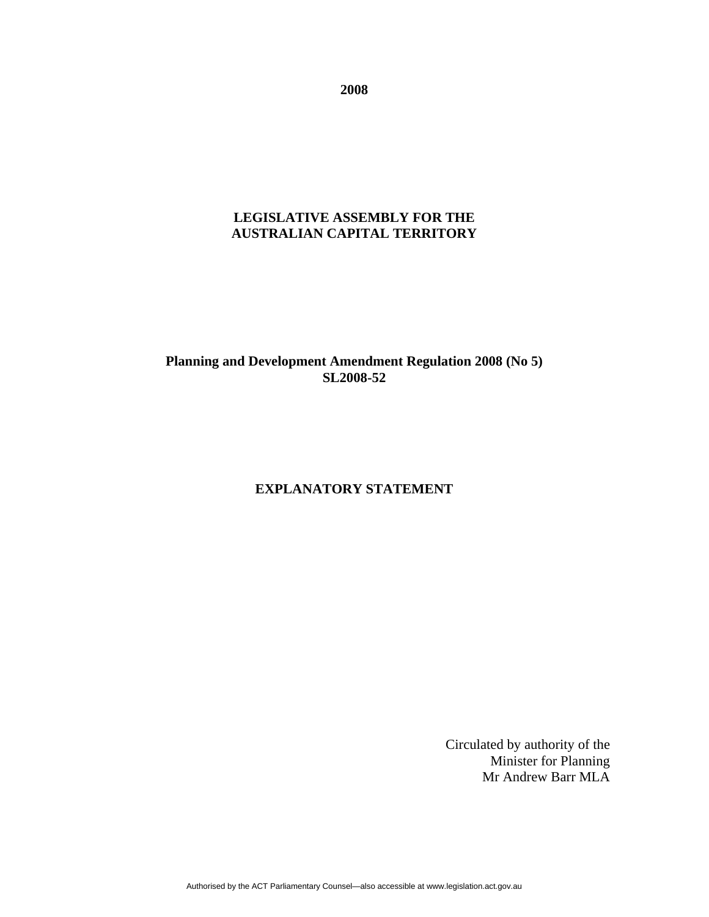**2008** 

# **LEGISLATIVE ASSEMBLY FOR THE AUSTRALIAN CAPITAL TERRITORY**

# **Planning and Development Amendment Regulation 2008 (No 5) SL2008-52**

### **EXPLANATORY STATEMENT**

Circulated by authority of the Minister for Planning Mr Andrew Barr MLA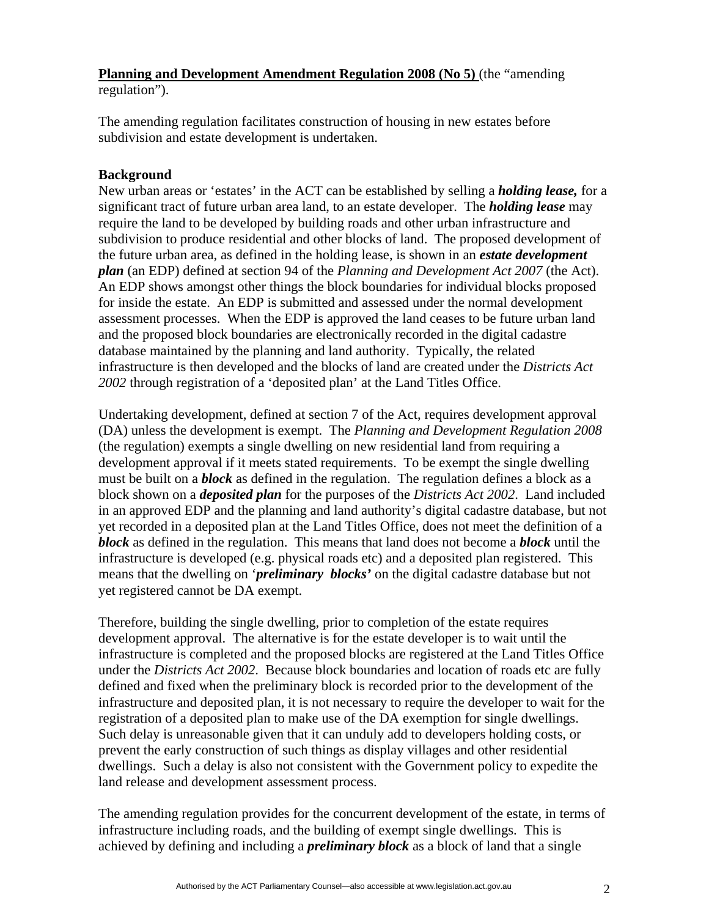## **Planning and Development Amendment Regulation 2008 (No 5)** (the "amending regulation").

The amending regulation facilitates construction of housing in new estates before subdivision and estate development is undertaken.

## **Background**

New urban areas or 'estates' in the ACT can be established by selling a *holding lease,* for a significant tract of future urban area land, to an estate developer. The *holding lease* may require the land to be developed by building roads and other urban infrastructure and subdivision to produce residential and other blocks of land. The proposed development of the future urban area, as defined in the holding lease, is shown in an *estate development plan* (an EDP) defined at section 94 of the *Planning and Development Act 2007* (the Act). An EDP shows amongst other things the block boundaries for individual blocks proposed for inside the estate. An EDP is submitted and assessed under the normal development assessment processes. When the EDP is approved the land ceases to be future urban land and the proposed block boundaries are electronically recorded in the digital cadastre database maintained by the planning and land authority. Typically, the related infrastructure is then developed and the blocks of land are created under the *Districts Act 2002* through registration of a 'deposited plan' at the Land Titles Office.

Undertaking development, defined at section 7 of the Act, requires development approval (DA) unless the development is exempt. The *Planning and Development Regulation 2008*  (the regulation) exempts a single dwelling on new residential land from requiring a development approval if it meets stated requirements. To be exempt the single dwelling must be built on a *block* as defined in the regulation. The regulation defines a block as a block shown on a *deposited plan* for the purposes of the *Districts Act 2002*. Land included in an approved EDP and the planning and land authority's digital cadastre database, but not yet recorded in a deposited plan at the Land Titles Office, does not meet the definition of a *block* as defined in the regulation. This means that land does not become a *block* until the infrastructure is developed (e.g. physical roads etc) and a deposited plan registered. This means that the dwelling on '*preliminary blocks'* on the digital cadastre database but not yet registered cannot be DA exempt.

Therefore, building the single dwelling, prior to completion of the estate requires development approval. The alternative is for the estate developer is to wait until the infrastructure is completed and the proposed blocks are registered at the Land Titles Office under the *Districts Act 2002*. Because block boundaries and location of roads etc are fully defined and fixed when the preliminary block is recorded prior to the development of the infrastructure and deposited plan, it is not necessary to require the developer to wait for the registration of a deposited plan to make use of the DA exemption for single dwellings. Such delay is unreasonable given that it can unduly add to developers holding costs, or prevent the early construction of such things as display villages and other residential dwellings. Such a delay is also not consistent with the Government policy to expedite the land release and development assessment process.

The amending regulation provides for the concurrent development of the estate, in terms of infrastructure including roads, and the building of exempt single dwellings. This is achieved by defining and including a *preliminary block* as a block of land that a single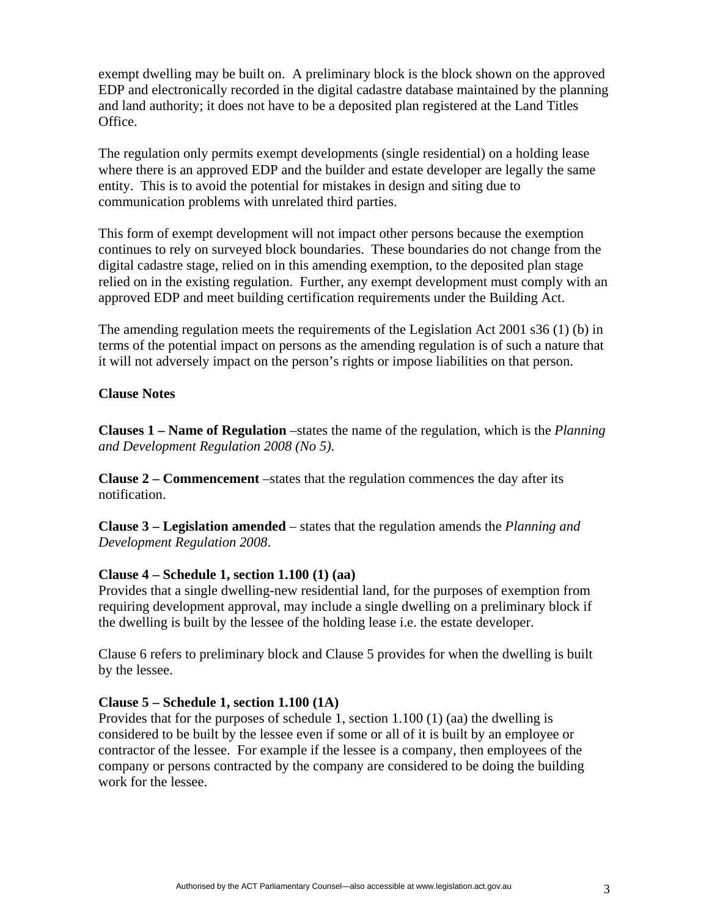exempt dwelling may be built on. A preliminary block is the block shown on the approved EDP and electronically recorded in the digital cadastre database maintained by the planning and land authority; it does not have to be a deposited plan registered at the Land Titles Office.

The regulation only permits exempt developments (single residential) on a holding lease where there is an approved EDP and the builder and estate developer are legally the same entity. This is to avoid the potential for mistakes in design and siting due to communication problems with unrelated third parties.

This form of exempt development will not impact other persons because the exemption continues to rely on surveyed block boundaries. These boundaries do not change from the digital cadastre stage, relied on in this amending exemption, to the deposited plan stage relied on in the existing regulation. Further, any exempt development must comply with an approved EDP and meet building certification requirements under the Building Act.

The amending regulation meets the requirements of the Legislation Act 2001 s36 (1) (b) in terms of the potential impact on persons as the amending regulation is of such a nature that it will not adversely impact on the person's rights or impose liabilities on that person.

#### **Clause Notes**

**Clauses 1 – Name of Regulation** –states the name of the regulation, which is the *Planning and Development Regulation 2008 (No 5)*.

**Clause 2 – Commencement** –states that the regulation commences the day after its notification.

**Clause 3 – Legislation amended** – states that the regulation amends the *Planning and Development Regulation 2008*.

### **Clause 4 – Schedule 1, section 1.100 (1) (aa)**

Provides that a single dwelling-new residential land, for the purposes of exemption from requiring development approval, may include a single dwelling on a preliminary block if the dwelling is built by the lessee of the holding lease i.e. the estate developer.

Clause 6 refers to preliminary block and Clause 5 provides for when the dwelling is built by the lessee.

#### **Clause 5 – Schedule 1, section 1.100 (1A)**

Provides that for the purposes of schedule 1, section 1.100 (1) (aa) the dwelling is considered to be built by the lessee even if some or all of it is built by an employee or contractor of the lessee. For example if the lessee is a company, then employees of the company or persons contracted by the company are considered to be doing the building work for the lessee.